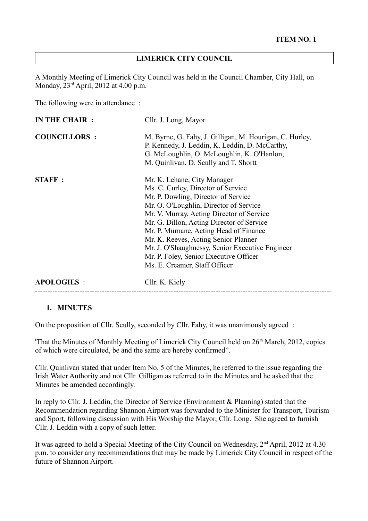#### **LIMERICK CITY COUNCIL**

A Monthly Meeting of Limerick City Council was held in the Council Chamber, City Hall, on Monday, 23rd April, 2012 at 4.00 p.m.

The following were in attendance :

| <b>IN THE CHAIR :</b> | Cllr. J. Long, Mayor                                                                                                                                                                                                                                                                                                                                                                                                                                         |
|-----------------------|--------------------------------------------------------------------------------------------------------------------------------------------------------------------------------------------------------------------------------------------------------------------------------------------------------------------------------------------------------------------------------------------------------------------------------------------------------------|
| <b>COUNCILLORS :</b>  | M. Byrne, G. Fahy, J. Gilligan, M. Hourigan, C. Hurley,<br>P. Kennedy, J. Leddin, K. Leddin, D. McCarthy,<br>G. McLoughlin, O. McLoughlin, K. O'Hanlon,<br>M. Quinlivan, D. Scully and T. Shortt                                                                                                                                                                                                                                                             |
| <b>STAFF:</b>         | Mr. K. Lehane, City Manager<br>Ms. C. Curley, Director of Service<br>Mr. P. Dowling, Director of Service<br>Mr. O. O'Loughlin, Director of Service<br>Mr. V. Murray, Acting Director of Service<br>Mr. G. Dillon, Acting Director of Service<br>Mr. P. Murnane, Acting Head of Finance<br>Mr. K. Reeves, Acting Senior Planner<br>Mr. J. O'Shaughnessy, Senior Executive Engineer<br>Mr. P. Foley, Senior Executive Officer<br>Ms. E. Creamer, Staff Officer |
| <b>APOLOGIES:</b>     | Cllr. K. Kiely                                                                                                                                                                                                                                                                                                                                                                                                                                               |

### **1. MINUTES**

On the proposition of Cllr. Scully, seconded by Cllr. Fahy, it was unanimously agreed :

'That the Minutes of Monthly Meeting of Limerick City Council held on 26<sup>th</sup> March, 2012, copies of which were circulated, be and the same are hereby confirmed".

Cllr. Quinlivan stated that under Item No. 5 of the Minutes, he referred to the issue regarding the Irish Water Authority and not Cllr. Gilligan as referred to in the Minutes and he asked that the Minutes be amended accordingly.

In reply to Cllr. J. Leddin, the Director of Service (Environment & Planning) stated that the Recommendation regarding Shannon Airport was forwarded to the Minister for Transport, Tourism and Sport, following discussion with His Worship the Mayor, Cllr. Long. She agreed to furnish Cllr. J. Leddin with a copy of such letter.

It was agreed to hold a Special Meeting of the City Council on Wednesday, 2<sup>nd</sup> April, 2012 at 4.30 p.m. to consider any recommendations that may be made by Limerick City Council in respect of the future of Shannon Airport.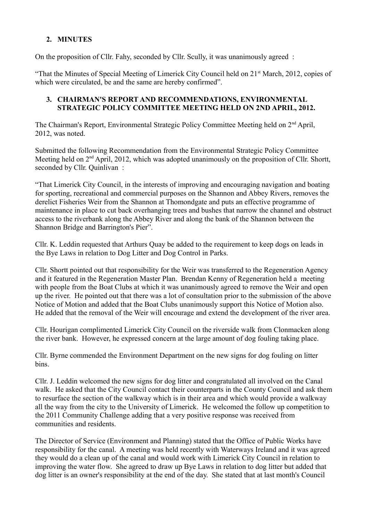# **2. MINUTES**

On the proposition of Cllr. Fahy, seconded by Cllr. Scully, it was unanimously agreed :

"That the Minutes of Special Meeting of Limerick City Council held on 21<sup>st</sup> March, 2012, copies of which were circulated, be and the same are hereby confirmed".

### **3. CHAIRMAN'S REPORT AND RECOMMENDATIONS, ENVIRONMENTAL STRATEGIC POLICY COMMITTEE MEETING HELD ON 2ND APRIL, 2012.**

The Chairman's Report, Environmental Strategic Policy Committee Meeting held on 2nd April, 2012, was noted.

Submitted the following Recommendation from the Environmental Strategic Policy Committee Meeting held on 2<sup>nd</sup> April, 2012, which was adopted unanimously on the proposition of Cllr. Shortt, seconded by Cllr. Quinlivan :

"That Limerick City Council, in the interests of improving and encouraging navigation and boating for sporting, recreational and commercial purposes on the Shannon and Abbey Rivers, removes the derelict Fisheries Weir from the Shannon at Thomondgate and puts an effective programme of maintenance in place to cut back overhanging trees and bushes that narrow the channel and obstruct access to the riverbank along the Abbey River and along the bank of the Shannon between the Shannon Bridge and Barrington's Pier".

Cllr. K. Leddin requested that Arthurs Quay be added to the requirement to keep dogs on leads in the Bye Laws in relation to Dog Litter and Dog Control in Parks.

Cllr. Shortt pointed out that responsibility for the Weir was transferred to the Regeneration Agency and it featured in the Regeneration Master Plan. Brendan Kenny of Regeneration held a meeting with people from the Boat Clubs at which it was unanimously agreed to remove the Weir and open up the river. He pointed out that there was a lot of consultation prior to the submission of the above Notice of Motion and added that the Boat Clubs unanimously support this Notice of Motion also. He added that the removal of the Weir will encourage and extend the development of the river area.

Cllr. Hourigan complimented Limerick City Council on the riverside walk from Clonmacken along the river bank. However, he expressed concern at the large amount of dog fouling taking place.

Cllr. Byrne commended the Environment Department on the new signs for dog fouling on litter bins.

Cllr. J. Leddin welcomed the new signs for dog litter and congratulated all involved on the Canal walk. He asked that the City Council contact their counterparts in the County Council and ask them to resurface the section of the walkway which is in their area and which would provide a walkway all the way from the city to the University of Limerick. He welcomed the follow up competition to the 2011 Community Challenge adding that a very positive response was received from communities and residents.

The Director of Service (Environment and Planning) stated that the Office of Public Works have responsibility for the canal. A meeting was held recently with Waterways Ireland and it was agreed they would do a clean up of the canal and would work with Limerick City Council in relation to improving the water flow. She agreed to draw up Bye Laws in relation to dog litter but added that dog litter is an owner's responsibility at the end of the day. She stated that at last month's Council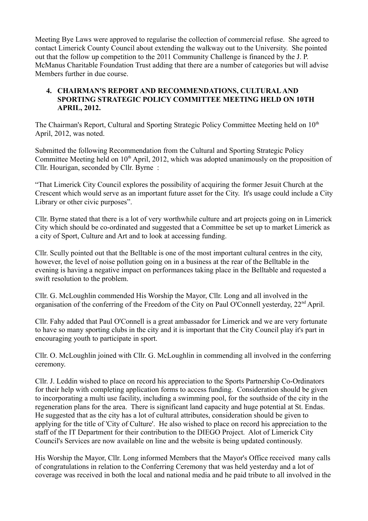Meeting Bye Laws were approved to regularise the collection of commercial refuse. She agreed to contact Limerick County Council about extending the walkway out to the University. She pointed out that the follow up competition to the 2011 Community Challenge is financed by the J. P. McManus Charitable Foundation Trust adding that there are a number of categories but will advise Members further in due course.

### **4. CHAIRMAN'S REPORT AND RECOMMENDATIONS, CULTURAL AND SPORTING STRATEGIC POLICY COMMITTEE MEETING HELD ON 10TH APRIL, 2012.**

The Chairman's Report, Cultural and Sporting Strategic Policy Committee Meeting held on 10<sup>th</sup> April, 2012, was noted.

Submitted the following Recommendation from the Cultural and Sporting Strategic Policy Committee Meeting held on  $10<sup>th</sup>$  April, 2012, which was adopted unanimously on the proposition of Cllr. Hourigan, seconded by Cllr. Byrne :

"That Limerick City Council explores the possibility of acquiring the former Jesuit Church at the Crescent which would serve as an important future asset for the City. It's usage could include a City Library or other civic purposes".

Cllr. Byrne stated that there is a lot of very worthwhile culture and art projects going on in Limerick City which should be co-ordinated and suggested that a Committee be set up to market Limerick as a city of Sport, Culture and Art and to look at accessing funding.

Cllr. Scully pointed out that the Belltable is one of the most important cultural centres in the city, however, the level of noise pollution going on in a business at the rear of the Belltable in the evening is having a negative impact on performances taking place in the Belltable and requested a swift resolution to the problem.

Cllr. G. McLoughlin commended His Worship the Mayor, Cllr. Long and all involved in the organisation of the conferring of the Freedom of the City on Paul O'Connell yesterday, 22nd April.

Cllr. Fahy added that Paul O'Connell is a great ambassador for Limerick and we are very fortunate to have so many sporting clubs in the city and it is important that the City Council play it's part in encouraging youth to participate in sport.

Cllr. O. McLoughlin joined with Cllr. G. McLoughlin in commending all involved in the conferring ceremony.

Cllr. J. Leddin wished to place on record his appreciation to the Sports Partnership Co-Ordinators for their help with completing application forms to access funding. Consideration should be given to incorporating a multi use facility, including a swimming pool, for the southside of the city in the regeneration plans for the area. There is significant land capacity and huge potential at St. Endas. He suggested that as the city has a lot of cultural attributes, consideration should be given to applying for the title of 'City of Culture'. He also wished to place on record his appreciation to the staff of the IT Department for their contribution to the DIEGO Project. Alot of Limerick City Council's Services are now available on line and the website is being updated continously.

His Worship the Mayor, Cllr. Long informed Members that the Mayor's Office received many calls of congratulations in relation to the Conferring Ceremony that was held yesterday and a lot of coverage was received in both the local and national media and he paid tribute to all involved in the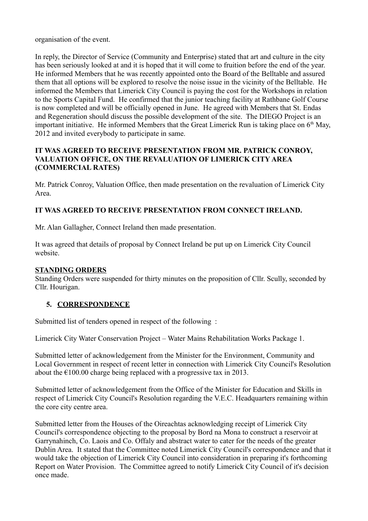organisation of the event.

In reply, the Director of Service (Community and Enterprise) stated that art and culture in the city has been seriously looked at and it is hoped that it will come to fruition before the end of the year. He informed Members that he was recently appointed onto the Board of the Belltable and assured them that all options will be explored to resolve the noise issue in the vicinity of the Belltable. He informed the Members that Limerick City Council is paying the cost for the Workshops in relation to the Sports Capital Fund. He confirmed that the junior teaching facility at Rathbane Golf Course is now completed and will be officially opened in June. He agreed with Members that St. Endas and Regeneration should discuss the possible development of the site. The DIEGO Project is an important initiative. He informed Members that the Great Limerick Run is taking place on  $6<sup>th</sup>$  May, 2012 and invited everybody to participate in same.

### **IT WAS AGREED TO RECEIVE PRESENTATION FROM MR. PATRICK CONROY, VALUATION OFFICE, ON THE REVALUATION OF LIMERICK CITY AREA (COMMERCIAL RATES)**

Mr. Patrick Conroy, Valuation Office, then made presentation on the revaluation of Limerick City Area.

# **IT WAS AGREED TO RECEIVE PRESENTATION FROM CONNECT IRELAND.**

Mr. Alan Gallagher, Connect Ireland then made presentation.

It was agreed that details of proposal by Connect Ireland be put up on Limerick City Council website.

### **STANDING ORDERS**

Standing Orders were suspended for thirty minutes on the proposition of Cllr. Scully, seconded by Cllr. Hourigan.

# **5. CORRESPONDENCE**

Submitted list of tenders opened in respect of the following :

Limerick City Water Conservation Project – Water Mains Rehabilitation Works Package 1.

Submitted letter of acknowledgement from the Minister for the Environment, Community and Local Government in respect of recent letter in connection with Limerick City Council's Resolution about the  $\epsilon$ 100.00 charge being replaced with a progressive tax in 2013.

Submitted letter of acknowledgement from the Office of the Minister for Education and Skills in respect of Limerick City Council's Resolution regarding the V.E.C. Headquarters remaining within the core city centre area.

Submitted letter from the Houses of the Oireachtas acknowledging receipt of Limerick City Council's correspondence objecting to the proposal by Bord na Mona to construct a reservoir at Garrynahinch, Co. Laois and Co. Offaly and abstract water to cater for the needs of the greater Dublin Area. It stated that the Committee noted Limerick City Council's correspondence and that it would take the objection of Limerick City Council into consideration in preparing it's forthcoming Report on Water Provision. The Committee agreed to notify Limerick City Council of it's decision once made.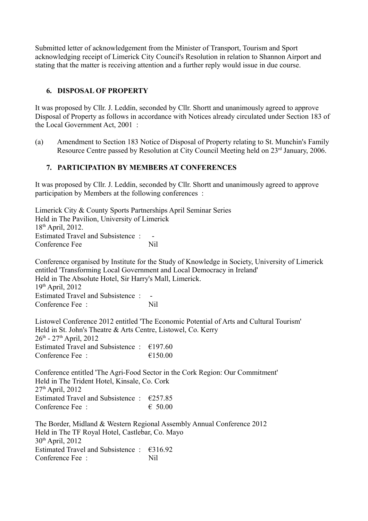Submitted letter of acknowledgement from the Minister of Transport, Tourism and Sport acknowledging receipt of Limerick City Council's Resolution in relation to Shannon Airport and stating that the matter is receiving attention and a further reply would issue in due course.

# **6. DISPOSAL OF PROPERTY**

It was proposed by Cllr. J. Leddin, seconded by Cllr. Shortt and unanimously agreed to approve Disposal of Property as follows in accordance with Notices already circulated under Section 183 of the Local Government Act, 2001 :

(a) Amendment to Section 183 Notice of Disposal of Property relating to St. Munchin's Family Resource Centre passed by Resolution at City Council Meeting held on 23<sup>rd</sup> January, 2006.

### **7. PARTICIPATION BY MEMBERS AT CONFERENCES**

It was proposed by Cllr. J. Leddin, seconded by Cllr. Shortt and unanimously agreed to approve participation by Members at the following conferences :

Limerick City & County Sports Partnerships April Seminar Series Held in The Pavilion, University of Limerick 18th April, 2012. Estimated Travel and Subsistence: Conference Fee Nil

Conference organised by Institute for the Study of Knowledge in Society, University of Limerick entitled 'Transforming Local Government and Local Democracy in Ireland' Held in The Absolute Hotel, Sir Harry's Mall, Limerick.  $19<sup>th</sup>$  April, 2012 Estimated Travel and Subsistence : -Conference Fee : Nil Listowel Conference 2012 entitled 'The Economic Potential of Arts and Cultural Tourism' Held in St. John's Theatre & Arts Centre, Listowel, Co. Kerry  $26^{th}$  -  $27^{th}$  April, 2012 Estimated Travel and Subsistence :  $\epsilon$ 197.60 Conference Fee :  $\epsilon$  150.00 Conference entitled 'The Agri-Food Sector in the Cork Region: Our Commitment' Held in The Trident Hotel, Kinsale, Co. Cork  $27<sup>th</sup>$  April,  $2012$ Estimated Travel and Subsistence :  $\epsilon$ 257.85 Conference Fee :  $\epsilon$  50.00 The Border, Midland & Western Regional Assembly Annual Conference 2012 Held in The TF Royal Hotel, Castlebar, Co. Mayo 30th April, 2012

Estimated Travel and Subsistence :  $\epsilon$ 316.92 Conference Fee : Nil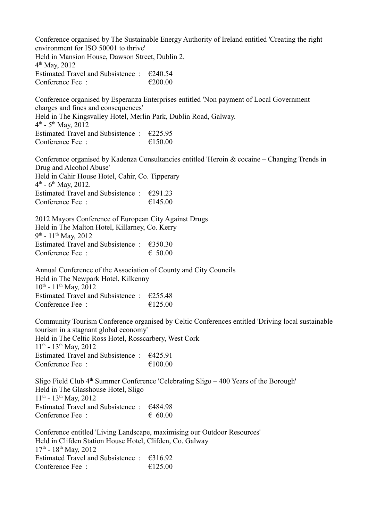Conference organised by The Sustainable Energy Authority of Ireland entitled 'Creating the right environment for ISO 50001 to thrive' Held in Mansion House, Dawson Street, Dublin 2. 4 th May, 2012 Estimated Travel and Subsistence :  $\epsilon$ 240.54 Conference Fee :  $\epsilon$  200.00 Conference organised by Esperanza Enterprises entitled 'Non payment of Local Government charges and fines and consequences' Held in The Kingsvalley Hotel, Merlin Park, Dublin Road, Galway.  $4^{\text{th}}$  - 5<sup>th</sup> May, 2012 Estimated Travel and Subsistence :  $\epsilon$ 225.95 Conference Fee :  $\epsilon$  150.00 Conference organised by Kadenza Consultancies entitled 'Heroin & cocaine – Changing Trends in Drug and Alcohol Abuse' Held in Cahir House Hotel, Cahir, Co. Tipperary  $4^{\text{th}}$  - 6<sup>th</sup> May, 2012. Estimated Travel and Subsistence :  $\epsilon$ 291.23 Conference Fee :  $\epsilon$  =  $\epsilon$  145.00 2012 Mayors Conference of European City Against Drugs Held in The Malton Hotel, Killarney, Co. Kerry 9<sup>th</sup> - 11<sup>th</sup> May, 2012 Estimated Travel and Subsistence :  $\epsilon$ 350.30 Conference Fee :  $650.00$ Annual Conference of the Association of County and City Councils Held in The Newpark Hotel, Kilkenny

 $10^{th}$  -  $11^{th}$  May, 2012 Estimated Travel and Subsistence :  $\epsilon$ 255.48 Conference Fee :  $\epsilon$  =  $\epsilon$  125.00

Community Tourism Conference organised by Celtic Conferences entitled 'Driving local sustainable tourism in a stagnant global economy' Held in The Celtic Ross Hotel, Rosscarbery, West Cork  $11^{th}$  -  $13^{th}$  May, 2012 Estimated Travel and Subsistence :  $\epsilon$ 425.91 Conference Fee :  $\epsilon$  100.00

Sligo Field Club  $4<sup>th</sup>$  Summer Conference 'Celebrating Sligo – 400 Years of the Borough' Held in The Glasshouse Hotel, Sligo  $11^{th}$  -  $13^{th}$  May, 2012 Estimated Travel and Subsistence : €484.98 Conference Fee  $\cdot$   $\in$  60.00

Conference entitled 'Living Landscape, maximising our Outdoor Resources' Held in Clifden Station House Hotel, Clifden, Co. Galway  $17<sup>th</sup> - 18<sup>th</sup>$  May, 2012 Estimated Travel and Subsistence :  $\epsilon$ 316.92 Conference Fee :  $\epsilon$  =  $\epsilon$  125.00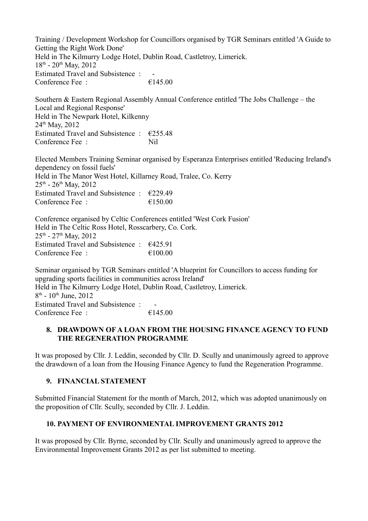Training / Development Workshop for Councillors organised by TGR Seminars entitled 'A Guide to Getting the Right Work Done' Held in The Kilmurry Lodge Hotel, Dublin Road, Castletroy, Limerick.  $18^{th}$  -  $20^{th}$  May,  $2012$ Estimated Travel and Subsistence : -Conference Fee :  $\epsilon$  =  $\epsilon$  145.00

Southern & Eastern Regional Assembly Annual Conference entitled 'The Jobs Challenge – the Local and Regional Response' Held in The Newpark Hotel, Kilkenny 24th May, 2012 Estimated Travel and Subsistence :  $\epsilon$ 255.48 Conference Fee : Nil

Elected Members Training Seminar organised by Esperanza Enterprises entitled 'Reducing Ireland's dependency on fossil fuels' Held in The Manor West Hotel, Killarney Road, Tralee, Co. Kerry  $25<sup>th</sup> - 26<sup>th</sup>$  May, 2012 Estimated Travel and Subsistence :  $\epsilon$ 229.49 Conference Fee :  $\epsilon$  =  $\epsilon$  =  $\epsilon$  =  $\epsilon$  =  $\epsilon$  =  $\epsilon$  =  $\epsilon$  =  $\epsilon$  =  $\epsilon$  =  $\epsilon$  =  $\epsilon$  =  $\epsilon$  =  $\epsilon$  =  $\epsilon$  =  $\epsilon$  =  $\epsilon$  =  $\epsilon$  =  $\epsilon$  =  $\epsilon$  =  $\epsilon$  =  $\epsilon$  =  $\epsilon$  =  $\epsilon$  =  $\epsilon$  =  $\epsilon$  =  $\epsilon$  =  $\epsilon$  =  $\epsilon$  =  $\epsilon$  =

Conference organised by Celtic Conferences entitled 'West Cork Fusion' Held in The Celtic Ross Hotel, Rosscarbery, Co. Cork.  $25<sup>th</sup> - 27<sup>th</sup>$  May, 2012 Estimated Travel and Subsistence :  $\epsilon$ 425.91 Conference Fee : €100.00

Seminar organised by TGR Seminars entitled 'A blueprint for Councillors to access funding for upgrading sports facilities in communities across Ireland' Held in The Kilmurry Lodge Hotel, Dublin Road, Castletroy, Limerick.  $8<sup>th</sup>$  -  $10<sup>th</sup>$  June,  $2012$ Estimated Travel and Subsistence : Conference Fee  $\cdot$   $\epsilon$  145.00

### **8. DRAWDOWN OF A LOAN FROM THE HOUSING FINANCE AGENCY TO FUND THE REGENERATION PROGRAMME**

It was proposed by Cllr. J. Leddin, seconded by Cllr. D. Scully and unanimously agreed to approve the drawdown of a loan from the Housing Finance Agency to fund the Regeneration Programme.

# **9. FINANCIAL STATEMENT**

Submitted Financial Statement for the month of March, 2012, which was adopted unanimously on the proposition of Cllr. Scully, seconded by Cllr. J. Leddin.

# **10. PAYMENT OF ENVIRONMENTAL IMPROVEMENT GRANTS 2012**

It was proposed by Cllr. Byrne, seconded by Cllr. Scully and unanimously agreed to approve the Environmental Improvement Grants 2012 as per list submitted to meeting.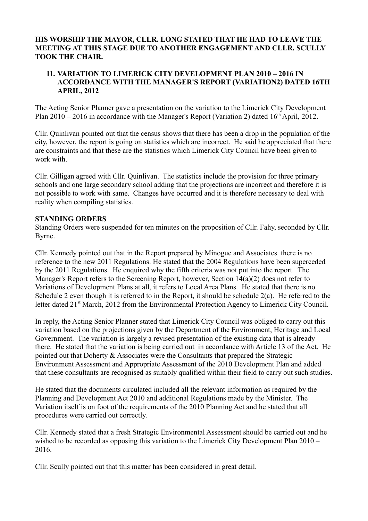#### **HIS WORSHIP THE MAYOR, CLLR. LONG STATED THAT HE HAD TO LEAVE THE MEETING AT THIS STAGE DUE TO ANOTHER ENGAGEMENT AND CLLR. SCULLY TOOK THE CHAIR.**

### **11. VARIATION TO LIMERICK CITY DEVELOPMENT PLAN 2010 – 2016 IN ACCORDANCE WITH THE MANAGER'S REPORT (VARIATION2) DATED 16TH APRIL, 2012**

The Acting Senior Planner gave a presentation on the variation to the Limerick City Development Plan  $2010 - 2016$  in accordance with the Manager's Report (Variation 2) dated  $16<sup>th</sup>$  April, 2012.

Cllr. Quinlivan pointed out that the census shows that there has been a drop in the population of the city, however, the report is going on statistics which are incorrect. He said he appreciated that there are constraints and that these are the statistics which Limerick City Council have been given to work with.

Cllr. Gilligan agreed with Cllr. Quinlivan. The statistics include the provision for three primary schools and one large secondary school adding that the projections are incorrect and therefore it is not possible to work with same. Changes have occurred and it is therefore necessary to deal with reality when compiling statistics.

### **STANDING ORDERS**

Standing Orders were suspended for ten minutes on the proposition of Cllr. Fahy, seconded by Cllr. Byrne.

Cllr. Kennedy pointed out that in the Report prepared by Minogue and Associates there is no reference to the new 2011 Regulations. He stated that the 2004 Regulations have been superceded by the 2011 Regulations. He enquired why the fifth criteria was not put into the report. The Manager's Report refers to the Screening Report, however, Section 14(a)(2) does not refer to Variations of Development Plans at all, it refers to Local Area Plans. He stated that there is no Schedule 2 even though it is referred to in the Report, it should be schedule 2(a). He referred to the letter dated 21<sup>st</sup> March, 2012 from the Environmental Protection Agency to Limerick City Council.

In reply, the Acting Senior Planner stated that Limerick City Council was obliged to carry out this variation based on the projections given by the Department of the Environment, Heritage and Local Government. The variation is largely a revised presentation of the existing data that is already there. He stated that the variation is being carried out in accordance with Article 13 of the Act. He pointed out that Doherty & Associates were the Consultants that prepared the Strategic Environment Assessment and Appropriate Assessment of the 2010 Development Plan and added that these consultants are recognised as suitably qualified within their field to carry out such studies.

He stated that the documents circulated included all the relevant information as required by the Planning and Development Act 2010 and additional Regulations made by the Minister. The Variation itself is on foot of the requirements of the 2010 Planning Act and he stated that all procedures were carried out correctly.

Cllr. Kennedy stated that a fresh Strategic Environmental Assessment should be carried out and he wished to be recorded as opposing this variation to the Limerick City Development Plan 2010 – 2016.

Cllr. Scully pointed out that this matter has been considered in great detail.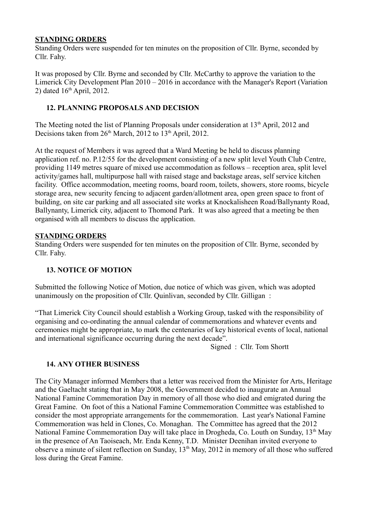### **STANDING ORDERS**

Standing Orders were suspended for ten minutes on the proposition of Cllr. Byrne, seconded by Cllr. Fahy.

It was proposed by Cllr. Byrne and seconded by Cllr. McCarthy to approve the variation to the Limerick City Development Plan 2010 – 2016 in accordance with the Manager's Report (Variation 2) dated  $16<sup>th</sup>$  April, 2012.

### **12. PLANNING PROPOSALS AND DECISION**

The Meeting noted the list of Planning Proposals under consideration at 13<sup>th</sup> April, 2012 and Decisions taken from  $26<sup>th</sup>$  March,  $2012$  to  $13<sup>th</sup>$  April, 2012.

At the request of Members it was agreed that a Ward Meeting be held to discuss planning application ref. no. P.12/55 for the development consisting of a new split level Youth Club Centre, providing 1149 metres square of mixed use accommodation as follows – reception area, split level activity/games hall, multipurpose hall with raised stage and backstage areas, self service kitchen facility. Office accommodation, meeting rooms, board room, toilets, showers, store rooms, bicycle storage area, new security fencing to adjacent garden/allotment area, open green space to front of building, on site car parking and all associated site works at Knockalisheen Road/Ballynanty Road, Ballynanty, Limerick city, adjacent to Thomond Park. It was also agreed that a meeting be then organised with all members to discuss the application.

### **STANDING ORDERS**

Standing Orders were suspended for ten minutes on the proposition of Cllr. Byrne, seconded by Cllr. Fahy.

### **13. NOTICE OF MOTION**

Submitted the following Notice of Motion, due notice of which was given, which was adopted unanimously on the proposition of Cllr. Quinlivan, seconded by Cllr. Gilligan :

"That Limerick City Council should establish a Working Group, tasked with the responsibility of organising and co-ordinating the annual calendar of commemorations and whatever events and ceremonies might be appropriate, to mark the centenaries of key historical events of local, national and international significance occurring during the next decade".

Signed : Cllr. Tom Shortt

### **14. ANY OTHER BUSINESS**

The City Manager informed Members that a letter was received from the Minister for Arts, Heritage and the Gaeltacht stating that in May 2008, the Government decided to inaugurate an Annual National Famine Commemoration Day in memory of all those who died and emigrated during the Great Famine. On foot of this a National Famine Commemoration Committee was established to consider the most appropriate arrangements for the commemoration. Last year's National Famine Commemoration was held in Clones, Co. Monaghan. The Committee has agreed that the 2012 National Famine Commemoration Day will take place in Drogheda, Co. Louth on Sunday, 13<sup>th</sup> May in the presence of An Taoiseach, Mr. Enda Kenny, T.D. Minister Deenihan invited everyone to observe a minute of silent reflection on Sunday, 13<sup>th</sup> May, 2012 in memory of all those who suffered loss during the Great Famine.